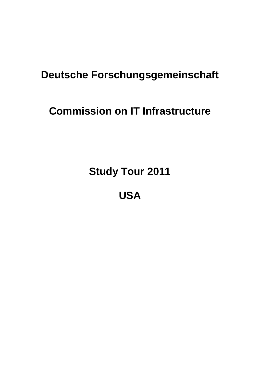# **Deutsche Forschungsgemeinschaft**

# **Commission on IT Infrastructure**

**Study Tour 2011**

**USA**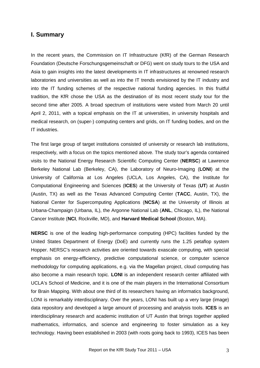#### <span id="page-2-0"></span>**I. Summary**

In the recent years, the Commission on IT Infrastructure (KfR) of the German Research Foundation (Deutsche Forschungsgemeinschaft or DFG) went on study tours to the USA and Asia to gain insights into the latest developments in IT infrastructures at renowned research laboratories and universities as well as into the IT trends envisioned by the IT industry and into the IT funding schemes of the respective national funding agencies. In this fruitful tradition, the KfR chose the USA as the destination of its most recent study tour for the second time after 2005. A broad spectrum of institutions were visited from March 20 until April 2, 2011, with a topical emphasis on the IT at universities, in university hospitals and medical research, on (super-) computing centers and grids, on IT funding bodies, and on the IT industries.

The first large group of target institutions consisted of university or research lab institutions, respectively, with a focus on the topics mentioned above. The study tour's agenda contained visits to the National Energy Research Scientific Computing Center (**NERSC**) at Lawrence Berkeley National Lab (Berkeley, CA), the Laboratory of Neuro-Imaging (**LONI**) at the University of California at Los Angeles (UCLA, Los Angeles, CA), the Institute for Computational Engineering and Sciences (**ICES**) at the University of Texas (**UT**) at Austin (Austin, TX) as well as the Texas Advanced Computing Center (**TACC**, Austin, TX), the National Center for Supercomputing Applications (**NCSA**) at the University of Illinois at Urbana-Champaign (Urbana, IL), the Argonne National Lab (**ANL**, Chicago, IL), the National Cancer Institute (**NCI**, Rockville, MD), and **Harvard Medical School** (Boston, MA).

**NERSC** is one of the leading high-performance computing (HPC) facilities funded by the United States Department of Energy (DoE) and currently runs the 1.25 petaflop system Hopper. NERSC's research activities are oriented towards exascale computing, with special emphasis on energy-efficiency, predictive computational science, or computer science methodology for computing applications, e.g. via the Magellan project, cloud computing has also become a main research topic. **LONI** is an independent research center affiliated with UCLA's School of Medicine, and it is one of the main players in the International Consortium for Brain Mapping. With about one third of its researchers having an informatics background, LONI is remarkably interdisciplinary. Over the years, LONI has built up a very large (image) data repository and developed a large amount of processing and analysis tools. **ICES** is an interdisciplinary research and academic institution of UT Austin that brings together applied mathematics, informatics, and science and engineering to foster simulation as a key technology. Having been established in 2003 (with roots going back to 1993), ICES has been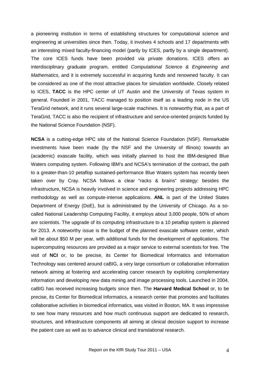a pioneering institution in terms of establishing structures for computational science and engineering at universities since then. Today, it involves 4 schools and 17 departments with an interesting mixed faculty-financing model (partly by ICES, partly by a single department). The core ICES funds have been provided via private donations. ICES offers an interdisciplinary graduate program, entitled *Computational Science & Engineering and Mathematics*, and it is extremely successful in acquiring funds and renowned faculty. It can be considered as one of the most attractive places for simulation worldwide. Closely related to ICES, **TACC** is the HPC center of UT Austin and the University of Texas system in general. Founded in 2001, TACC managed to position itself as a leading node in the US TeraGrid network, and it runs several large-scale machines. It is noteworthy that, as a part of TeraGrid, TACC is also the recipient of infrastructure and service-oriented projects funded by the National Science Foundation (NSF).

**NCSA** is a cutting-edge HPC site of the National Science Foundation (NSF). Remarkable investments have been made (by the NSF and the University of Illinois) towards an (academic) exascale facility, which was initially planned to host the IBM-designed Blue Waters computing system. Following IBM's and NCSA's termination of the contract, the path to a greater-than-10 petaflop sustained-performance Blue Waters system has recently been taken over by Cray. NCSA follows a clear "racks & brains" strategy: besides the infrastructure, NCSA is heavily involved in science and engineering projects addressing HPC methodology as well as compute-intense applications. **ANL** is part of the United States Department of Energy (DoE), but is administrated by the University of Chicago. As a socalled National Leadership Computing Facility, it employs about 3,000 people, 50% of whom are scientists. The upgrade of its computing infrastructure to a 10 petaflop system is planned for 2013. A noteworthy issue is the budget of the planned exascale software center, which will be about \$50 M per year, with additional funds for the development of applications. The supercomputing resources are provided as a major service to external scientists for free. The visit of **NCI** or, to be precise, its Center for Biomedical Informatics and Information Technology was centered around caBIG, a very large consortium or collaborative information network aiming at fostering and accelerating cancer research by exploiting complementary information and developing new data mining and image processing tools. Launched in 2004, caBIG has received increasing budgets since then. The **Harvard Medical School** or, to be precise, its Center for Biomedical Informatics, a research center that promotes and facilitates collaborative activities in biomedical informatics, was visited in Boston, MA. It was impressive to see how many resources and how much continuous support are dedicated to research, structures, and infrastructure components all aiming at clinical decision support to increase the patient care as well as to advance clinical and translational research.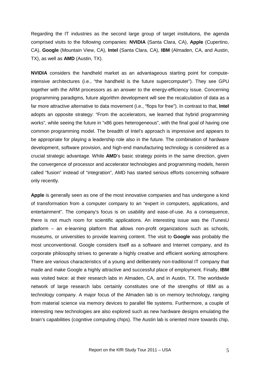Regarding the IT industries as the second large group of target institutions, the agenda comprised visits to the following companies: **NVIDIA** (Santa Clara, CA), **Apple** (Cupertino, CA), **Google** (Mountain View, CA), **Intel** (Santa Clara, CA), **IBM** (Almaden, CA, and Austin, TX), as well as **AMD** (Austin, TX).

**NVIDIA** considers the handheld market as an advantageous starting point for computeintensive architectures (i.e., "the handheld is the future supercomputer"). They see GPU together with the ARM processors as an answer to the energy-efficiency issue. Concerning programming paradigms, future algorithm development will see the recalculation of data as a far more attractive alternative to data movement (i.e., "flops for free"). In contrast to that, **Intel** adopts an opposite strategy: "From the accelerators, we learned that hybrid programming works", while seeing the future in "x86 goes heterogeneous", with the final goal of having one common programming model. The breadth of Intel's approach is impressive and appears to be appropriate for playing a leadership role also in the future. The combination of hardware development, software provision, and high-end manufacturing technology is considered as a crucial strategic advantage. While **AMD**'s basic strategy points in the same direction, given the convergence of processor and accelerator technologies and programming models, herein called "fusion" instead of "integration", AMD has started serious efforts concerning software only recently.

**Apple** is generally seen as one of the most innovative companies and has undergone a kind of transformation from a computer company to an "expert in computers, applications, and entertainment". The company's focus is on usability and ease-of-use. As a consequence, there is not much room for scientific applications. An interesting issue was the iTunesU platform – an e-learning platform that allows non-profit organizations such as schools, museums, or universities to provide learning content. The visit to **Google** was probably the most unconventional. Google considers itself as a software and Internet company, and its corporate philosophy strives to generate a highly creative and efficient working atmosphere. There are various characteristics of a young and deliberately non-traditional IT company that made and make Google a highly attractive and successful place of employment. Finally, **IBM** was visited twice: at their research labs in Almaden, CA, and in Austin, TX. The worldwide network of large research labs certainly constitutes one of the strengths of IBM as a technology company. A major focus of the Almaden lab is on memory technology, ranging from material science via memory devices to parallel file systems. Furthermore, a couple of interesting new technologies are also explored such as new hardware designs emulating the brain's capabilities (cognitive computing chips). The Austin lab is oriented more towards chip,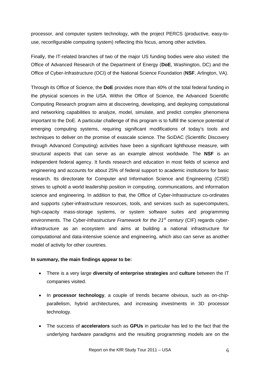processor, and computer system technology, with the project PERCS (productive, easy-touse, reconfigurable computing system) reflecting this focus, among other activities.

Finally, the IT-related branches of two of the major US funding bodies were also visited: the Office of Advanced Research of the Department of Energy (**DoE**, Washington, DC) and the Office of Cyber-Infrastructure (OCI) of the National Science Foundation (**NSF**, Arlington, VA).

Through its Office of Science, the **DoE** provides more than 40% of the total federal funding in the physical sciences in the USA. Within the Office of Science, the Advanced Scientific Computing Research program aims at discovering, developing, and deploying computational and networking capabilities to analyze, model, simulate, and predict complex phenomena important to the DoE. A particular challenge of this program is to fulfill the science potential of emerging computing systems, requiring significant modifications of today's tools and techniques to deliver on the promise of exascale science. The SciDAC (Scientific Discovery through Advanced Computing) activities have been a significant lighthouse measure, with structural aspects that can serve as an example almost worldwide. The **NSF** is an independent federal agency. It funds research and education in most fields of science and engineering and accounts for about 25% of federal support to academic institutions for basic research. Its directorate for Computer and Information Science and Engineering (CISE) strives to uphold a world leadership position in computing, communications, and information science and engineering. In addition to that, the Office of Cyber-Infrastructure co-ordinates and supports cyber-infrastructure resources, tools, and services such as supercomputers, high-capacity mass-storage systems, or system software suites and programming environments. The *Cyber-Infrastructure Framework for the 21st century* (CIF) regards cyberinfrastructure as an ecosystem and aims at building a national infrastructure for computational and data-intensive science and engineering, which also can serve as another model of activity for other countries.

#### **In summary, the main findings appear to be:**

- There is a very large **diversity of enterprise strategies** and **culture** between the IT companies visited.
- In **processor technology**, a couple of trends became obvious, such as on-chipparallelism, hybrid architectures, and increasing investments in 3D processor technology.
- The success of **accelerators** such as **GPUs** in particular has led to the fact that the underlying hardware paradigms and the resulting programming models are on the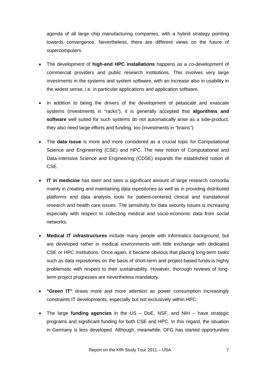agenda of all large chip manufacturing companies, with a hybrid strategy pointing towards convergence. Nevertheless, there are different views on the future of supercomputers.

- The development of **high-end HPC installations** happens as a co-development of commercial providers and public research institutions. This involves very large investments in the systems and system software, with an increase also in usability in the widest sense, i.e. in particular applications and application software.
- In addition to being the drivers of the development of petascale and exascale systems (investments in "racks"), it is generally accepted that **algorithms and software** well suited for such systems do not automatically arise as a side-product, they also need large efforts and funding, too (investments in "brains").
- The **data issue** is more and more considered as a crucial topic for Computational Science and Engineering (CSE) and HPC. The new notion of Computational and Data-Intensive Science and Engineering (CDSE) expands the established notion of CSE.
- **IT in medicine** has seen and sees a significant amount of large research consortia mainly in creating and maintaining data repositories as well as in providing distributed platforms and data analysis tools for patient-centered clinical and translational research and health care issues. The sensitivity for data security issues is increasing especially with respect to collecting medical and socio-economic data from social networks.
- **Medical IT infrastructures** include many people with informatics background, but are developed rather in medical environments with little exchange with dedicated CSE or HPC institutions. Once again, it became obvious that placing long-term tasks such as data repositories on the basis of short-term and project-based funds is highly problematic with respect to their sustainability. However, thorough reviews of longterm project progresses are nevertheless mandatory.
- **"Green IT"** draws more and more attention as power consumption increasingly constraints IT developments, especially but not exclusively within HPC.
- The large **funding agencies** in the US DoE, NSF, and NIH have strategic programs and significant funding for both CSE and HPC. In this regard, the situation in Germany is less developed. Although, meanwhile, DFG has started opportunities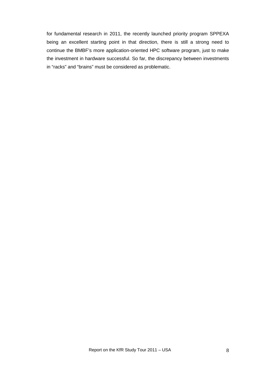for fundamental research in 2011, the recently launched priority program SPPEXA being an excellent starting point in that direction, there is still a strong need to continue the BMBF's more application-oriented HPC software program, just to make the investment in hardware successful. So far, the discrepancy between investments in "racks" and "brains" must be considered as problematic.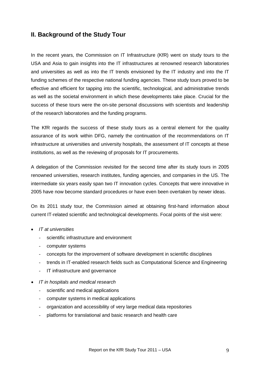## <span id="page-8-0"></span>**II. Background of the Study Tour**

In the recent years, the Commission on IT Infrastructure (KfR) went on study tours to the USA and Asia to gain insights into the IT infrastructures at renowned research laboratories and universities as well as into the IT trends envisioned by the IT industry and into the IT funding schemes of the respective national funding agencies. These study tours proved to be effective and efficient for tapping into the scientific, technological, and administrative trends as well as the societal environment in which these developments take place. Crucial for the success of these tours were the on-site personal discussions with scientists and leadership of the research laboratories and the funding programs.

The KfR regards the success of these study tours as a central element for the quality assurance of its work within DFG, namely the continuation of the recommendations on IT infrastructure at universities and university hospitals, the assessment of IT concepts at these institutions, as well as the reviewing of proposals for IT procurements.

A delegation of the Commission revisited for the second time after its study tours in 2005 renowned universities, research institutes, funding agencies, and companies in the US. The intermediate six years easily span two IT innovation cycles. Concepts that were innovative in 2005 have now become standard procedures or have even been overtaken by newer ideas.

On its 2011 study tour, the Commission aimed at obtaining first-hand information about current IT-related scientific and technological developments. Focal points of the visit were:

- *IT at universities*
	- scientific infrastructure and environment
	- computer systems
	- concepts for the improvement of software development in scientific disciplines
	- trends in IT-enabled research fields such as Computational Science and Engineering
	- IT infrastructure and governance
- *IT in hospitals and medical research*
	- scientific and medical applications
	- computer systems in medical applications
	- organization and accessibility of very large medical data repositories
	- platforms for translational and basic research and health care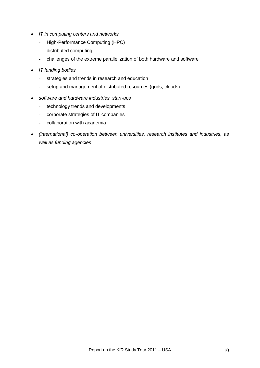- *IT in computing centers and networks*
	- High-Performance Computing (HPC)
	- distributed computing
	- challenges of the extreme parallelization of both hardware and software
- *IT funding bodies*
	- strategies and trends in research and education
	- setup and management of distributed resources (grids, clouds)
- *software and hardware industries, start-ups*
	- technology trends and developments
	- corporate strategies of IT companies
	- collaboration with academia
- *(international) co-operation between universities, research institutes and industries, as well as funding agencies*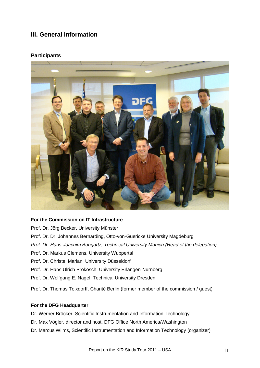# <span id="page-10-0"></span>**III. General Information**

#### <span id="page-10-1"></span>**Participants**



#### **For the Commission on IT Infrastructure**

Prof. Dr. Jörg Becker, University Münster

- Prof. Dr. Dr. Johannes Bernarding, Otto-von-Guericke University Magdeburg
- *Prof. Dr. Hans-Joachim Bungartz, Technical University Munich (Head of the delegation)*
- Prof. Dr. Markus Clemens, University Wuppertal
- Prof. Dr. Christel Marian, University Düsseldorf
- Prof. Dr. Hans Ulrich Prokosch, University Erlangen-Nürnberg
- Prof. Dr. Wolfgang E. Nagel, Technical University Dresden
- Prof. Dr. Thomas Tolxdorff, Charité Berlin (former member of the commission / guest)

#### **For the DFG Headquarter**

- Dr. Werner Bröcker, Scientific Instrumentation and Information Technology
- Dr. Max Vögler, director and host, DFG Office North America/Washington
- Dr. Marcus Wilms, Scientific Instrumentation and Information Technology (organizer)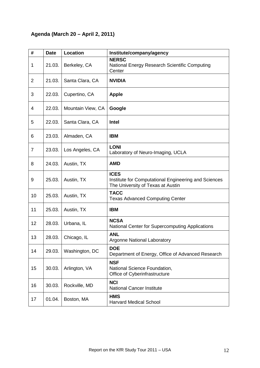# <span id="page-11-0"></span>**Agenda (March 20 – April 2, 2011)**

| #              | <b>Date</b> | Location          | Institute/company/agency                                                                                 |
|----------------|-------------|-------------------|----------------------------------------------------------------------------------------------------------|
| 1              | 21.03.      | Berkeley, CA      | <b>NERSC</b><br>National Energy Research Scientific Computing<br>Center                                  |
| $\overline{2}$ | 21.03.      | Santa Clara, CA   | <b>NVIDIA</b>                                                                                            |
| 3              | 22.03.      | Cupertino, CA     | <b>Apple</b>                                                                                             |
| 4              | 22.03.      | Mountain View, CA | Google                                                                                                   |
| 5              | 22.03.      | Santa Clara, CA   | Intel                                                                                                    |
| 6              | 23.03.      | Almaden, CA       | <b>IBM</b>                                                                                               |
| $\overline{7}$ | 23.03.      | Los Angeles, CA   | <b>LONI</b><br>Laboratory of Neuro-Imaging, UCLA                                                         |
| 8              | 24.03.      | Austin, TX        | <b>AMD</b>                                                                                               |
| 9              | 25.03.      | Austin, TX        | <b>ICES</b><br>Institute for Computational Engineering and Sciences<br>The University of Texas at Austin |
| 10             | 25.03.      | Austin, TX        | <b>TACC</b><br><b>Texas Advanced Computing Center</b>                                                    |
| 11             | 25.03.      | Austin, TX        | <b>IBM</b>                                                                                               |
| 12             | 28.03.      | Urbana, IL        | <b>NCSA</b><br>National Center for Supercomputing Applications                                           |
| 13             | 28.03.      | Chicago, IL       | <b>ANL</b><br><b>Argonne National Laboratory</b>                                                         |
| 14             | 29.03.      | Washington, DC    | <b>DOE</b><br>Department of Energy, Office of Advanced Research                                          |
| 15             | 30.03.      | Arlington, VA     | <b>NSF</b><br>National Science Foundation,<br>Office of Cyberinfrastructure                              |
| 16             | 30.03.      | Rockville, MD     | <b>NCI</b><br><b>National Cancer Institute</b>                                                           |
| 17             | 01.04.      | Boston, MA        | <b>HMS</b><br><b>Harvard Medical School</b>                                                              |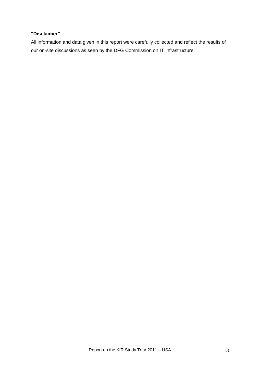#### **"Disclaimer"**

All information and data given in this report were carefully collected and reflect the results of our on-site discussions as seen by the DFG Commission on IT Infrastructure.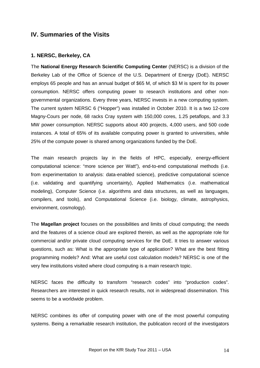### <span id="page-13-0"></span>**IV. Summaries of the Visits**

#### <span id="page-13-1"></span>**1. NERSC, Berkeley, CA**

The **National Energy Research Scientific Computing Center** (NERSC) is a division of the Berkeley Lab of the Office of Science of the U.S. Department of Energy (DoE). NERSC employs 65 people and has an annual budget of \$65 M, of which \$3 M is spent for its power consumption. NERSC offers computing power to research institutions and other nongovernmental organizations. Every three years, NERSC invests in a new computing system. The current system NERSC 6 ("Hopper") was installed in October 2010. It is a two 12-core Magny-Cours per node, 68 racks Cray system with 150,000 cores, 1.25 petaflops, and 3.3 MW power consumption. NERSC supports about 400 projects, 4,000 users, and 500 code instances. A total of 65% of its available computing power is granted to universities, while 25% of the compute power is shared among organizations funded by the DoE.

The main research projects lay in the fields of HPC, especially, energy-efficient computational science: "more science per Watt"), end-to-end computational methods (i.e. from experimentation to analysis: data-enabled science), predictive computational science (i.e. validating and quantifying uncertainty), Applied Mathematics (i.e. mathematical modeling), Computer Science (i.e. algorithms and data structures, as well as languages, compilers, and tools), and Computational Science (i.e. biology, climate, astrophysics, environment, cosmology).

The **Magellan project** focuses on the possibilities and limits of cloud computing; the needs and the features of a science cloud are explored therein, as well as the appropriate role for commercial and/or private cloud computing services for the DoE. It tries to answer various questions, such as: What is the appropriate type of application? What are the best fitting programming models? And: What are useful cost calculation models? NERSC is one of the very few institutions visited where cloud computing is a main research topic.

NERSC faces the difficulty to transform "research codes" into "production codes". Researchers are interested in quick research results, not in widespread dissemination. This seems to be a worldwide problem.

NERSC combines its offer of computing power with one of the most powerful computing systems. Being a remarkable research institution, the publication record of the investigators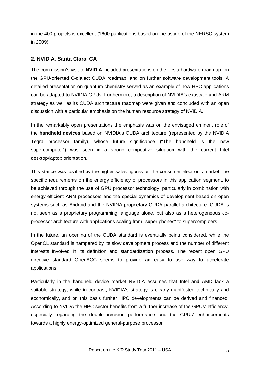in the 400 projects is excellent (1600 publications based on the usage of the NERSC system in 2009).

#### <span id="page-14-0"></span>**2. NVIDIA, Santa Clara, CA**

The commission's visit to **NVIDIA** included presentations on the Tesla hardware roadmap, on the GPU-oriented C-dialect CUDA roadmap, and on further software development tools. A detailed presentation on quantum chemistry served as an example of how HPC applications can be adapted to NVIDIA GPUs. Furthermore, a description of NVIDIA's exascale and ARM strategy as well as its CUDA architecture roadmap were given and concluded with an open discussion with a particular emphasis on the human resource strategy of NVIDIA.

In the remarkably open presentations the emphasis was on the envisaged eminent role of the **handheld devices** based on NVIDIA's CUDA architecture (represented by the NVIDIA Tegra processor family), whose future significance ("The handheld is the new supercomputer") was seen in a strong competitive situation with the current Intel desktop/laptop orientation.

This stance was justified by the higher sales figures on the consumer electronic market, the specific requirements on the energy efficiency of processors in this application segment, to be achieved through the use of GPU processor technology, particularly in combination with energy-efficient ARM processors and the special dynamics of development based on open systems such as Android and the NVIDIA proprietary CUDA parallel architecture. CUDA is not seen as a proprietary programming language alone, but also as a heterogeneous coprocessor architecture with applications scaling from "super phones" to supercomputers.

In the future, an opening of the CUDA standard is eventually being considered, while the OpenCL standard is hampered by its slow development process and the number of different interests involved in its definition and standardization process. The recent open GPU directive standard OpenACC seems to provide an easy to use way to accelerate applications.

Particularly in the handheld device market NVIDIA assumes that Intel and AMD lack a suitable strategy, while in contrast, NVIDIA's strategy is clearly manifested technically and economically, and on this basis further HPC developments can be derived and financed. According to NVIDA the HPC sector benefits from a further increase of the GPUs' efficiency, especially regarding the double-precision performance and the GPUs' enhancements towards a highly energy-optimized general-purpose processor.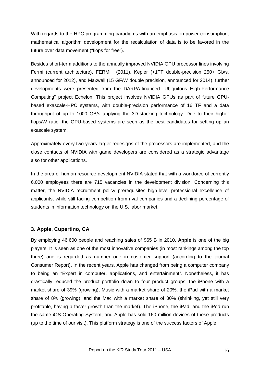With regards to the HPC programming paradigms with an emphasis on power consumption, mathematical algorithm development for the recalculation of data is to be favored in the future over data movement ("flops for free").

Besides short-term additions to the annually improved NVIDIA GPU processor lines involving Fermi (current architecture), FERMI+ (2011), Kepler (>1TF double-precision 250+ Gb/s, announced for 2012), and Maxwell (15 GF/W double precision, announced for 2014), further developments were presented from the DARPA-financed "Ubiquitous High-Performance Computing" project Echelon. This project involves NVIDIA GPUs as part of future GPUbased exascale-HPC systems, with double-precision performance of 16 TF and a data throughput of up to 1000 GB/s applying the 3D-stacking technology. Due to their higher flops/W ratio, the GPU-based systems are seen as the best candidates for setting up an exascale system.

Approximately every two years larger redesigns of the processors are implemented, and the close contacts of NVIDIA with game developers are considered as a strategic advantage also for other applications.

In the area of human resource development NVIDIA stated that with a workforce of currently 6,000 employees there are 715 vacancies in the development division. Concerning this matter, the NVIDIA recruitment policy prerequisites high-level professional excellence of applicants, while still facing competition from rival companies and a declining percentage of students in information technology on the U.S. labor market.

#### <span id="page-15-0"></span>**3. Apple, Cupertino, CA**

By employing 46,600 people and reaching sales of \$65 B in 2010, **Apple** is one of the big players. It is seen as one of the most innovative companies (in most rankings among the top three) and is regarded as number one in customer support (according to the journal Consumer Report). In the recent years, Apple has changed from being a computer company to being an "Expert in computer, applications, and entertainment". Nonetheless, it has drastically reduced the product portfolio down to four product groups: the iPhone with a market share of 39% (growing), Music with a market share of 20%, the iPad with a market share of 8% (growing), and the Mac with a market share of 30% (shrinking, yet still very profitable, having a faster growth than the market). The iPhone, the iPad, and the iPod run the same iOS Operating System, and Apple has sold 160 million devices of these products (up to the time of our visit). This platform strategy is one of the success factors of Apple.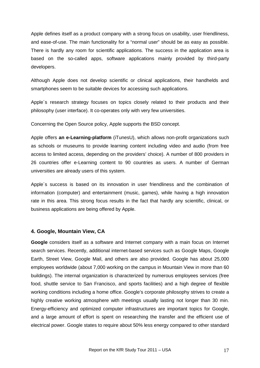Apple defines itself as a product company with a strong focus on usability, user friendliness, and ease-of-use. The main functionality for a "normal user" should be as easy as possible. There is hardly any room for scientific applications. The success in the application area is based on the so-called apps, software applications mainly provided by third-party developers.

Although Apple does not develop scientific or clinical applications, their handhelds and smartphones seem to be suitable devices for accessing such applications.

Apple´s research strategy focuses on topics closely related to their products and their philosophy (user interface). It co-operates only with very few universities.

Concerning the Open Source policy, Apple supports the BSD concept.

Apple offers **an e-Learning-platform** (iTunesU), which allows non-profit organizations such as schools or museums to provide learning content including video and audio (from free access to limited access, depending on the providers' choice). A number of 800 providers in 26 countries offer e-Learning content to 90 countries as users. A number of German universities are already users of this system.

Apple´s success is based on its innovation in user friendliness and the combination of information (computer) and entertainment (music, games), while having a high innovation rate in this area. This strong focus results in the fact that hardly any scientific, clinical, or business applications are being offered by Apple.

#### <span id="page-16-0"></span>**4. Google, Mountain View, CA**

**Google** considers itself as a software and Internet company with a main focus on Internet search services. Recently, additional internet-based services such as Google Maps, Google Earth, Street View, Google Mail, and others are also provided. Google has about 25,000 employees worldwide (about 7,000 working on the campus in Mountain View in more than 60 buildings). The internal organization is characterized by numerous employees services (free food, shuttle service to San Francisco, and sports facilities) and a high degree of flexible working conditions including a home office. Google's corporate philosophy strives to create a highly creative working atmosphere with meetings usually lasting not longer than 30 min. Energy-efficiency and optimized computer infrastructures are important topics for Google, and a large amount of effort is spent on researching the transfer and the efficient use of electrical power. Google states to require about 50% less energy compared to other standard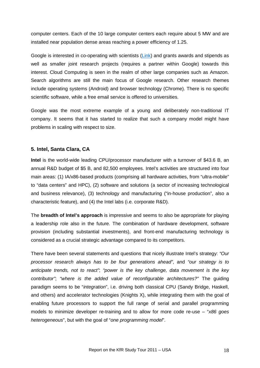computer centers. Each of the 10 large computer centers each require about 5 MW and are installed near population dense areas reaching a power efficiency of 1.25.

Google is interested in co-operating with scientists [\(Link\)](http://research.google.com/university/) and grants awards and stipends as well as smaller joint research projects (requires a partner within Google) towards this interest. Cloud Computing is seen in the realm of other large companies such as Amazon. Search algorithms are still the main focus of Google research. Other research themes include operating systems (Android) and browser technology (Chrome). There is no specific scientific software, while a free email service is offered to universities.

Google was the most extreme example of a young and deliberately non-traditional IT company. It seems that it has started to realize that such a company model might have problems in scaling with respect to size.

#### <span id="page-17-0"></span>**5. Intel, Santa Clara, CA**

**Intel** is the world-wide leading CPU/processor manufacturer with a turnover of \$43.6 B, an annual R&D budget of \$5 B, and 82,500 employees. Intel's activities are structured into four main areas: (1) IA/x86-based products (comprising all hardware activities, from "ultra-mobile" to "data centers" and HPC), (2) software and solutions (a sector of increasing technological and business relevance), (3) technology and manufacturing ("in-house production", also a characteristic feature), and (4) the Intel labs (i.e. corporate R&D).

The **breadth of Intel's approach** is impressive and seems to also be appropriate for playing a leadership role also in the future. The combination of hardware development, software provision (including substantial investments), and front-end manufacturing technology is considered as a crucial strategic advantage compared to its competitors.

There have been several statements and questions that nicely illustrate Intel's strategy: *"Our processor research always has to be four generations ahead"*, and *"our strategy is to anticipate trends, not to react"*; *"power is the key challenge, data movement is the key contributor"*; *"where is the added value of reconfigurable architectures?"* The guiding paradigm seems to be "*integration*", i.e. driving both classical CPU (Sandy Bridge, Haskell, and others) and accelerator technologies (Knights X), while integrating them with the goal of enabling future processors to support the full range of serial and parallel programming models to minimize developer re-training and to allow for more code re-use – "*x86 goes heterogeneous*", but with the goal of "*one programming model*".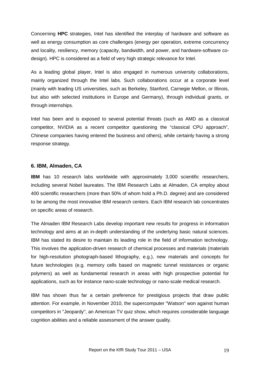Concerning **HPC** strategies, Intel has identified the interplay of hardware and software as well as energy consumption as core challenges (energy per operation, extreme concurrency and locality, resiliency, memory (capacity, bandwidth, and power, and hardware-software codesign). HPC is considered as a field of very high strategic relevance for Intel.

As a leading global player, Intel is also engaged in numerous university collaborations, mainly organized through the Intel labs. Such collaborations occur at a corporate level (mainly with leading US universities, such as Berkeley, Stanford, Carnegie Mellon, or Illinois, but also with selected institutions in Europe and Germany), through individual grants, or through internships.

Intel has been and is exposed to several potential threats (such as AMD as a classical competitor, NVIDIA as a recent competitor questioning the "classical CPU approach", Chinese companies having entered the business and others), while certainly having a strong response strategy.

#### <span id="page-18-0"></span>**6. IBM, Almaden, CA**

**IBM** has 10 research labs worldwide with approximately 3,000 scientific researchers, including several Nobel laureates. The IBM Research Labs at Almaden, CA employ about 400 scientific researchers (more than 50% of whom hold a Ph.D. degree) and are considered to be among the most innovative IBM research centers. Each IBM research lab concentrates on specific areas of research.

The Almaden IBM Research Labs develop important new results for progress in information technology and aims at an in-depth understanding of the underlying basic natural sciences. IBM has stated its desire to maintain its leading role in the field of information technology. This involves the application-driven research of chemical processes and materials (materials for high-resolution photograph-based lithography, e.g.), new materials and concepts for future technologies (e.g. memory cells based on magnetic tunnel resistances or organic polymers) as well as fundamental research in areas with high prospective potential for applications, such as for instance nano-scale technology or nano-scale medical research.

IBM has shown thus far a certain preference for prestigious projects that draw public attention. For example, in November 2010, the supercomputer "Watson" won against human competitors in "Jeopardy", an American TV quiz show, which requires considerable language cognition abilities and a reliable assessment of the answer quality.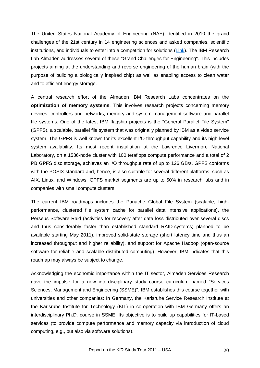The United States National Academy of Engineering (NAE) identified in 2010 the grand challenges of the 21st century in 14 engineering sciences and asked companies, scientific institutions, and individuals to enter into a competition for solutions [\(Link\)](http://www.engineeringchallenges.org/). The IBM Research Lab Almaden addresses several of these "Grand Challenges for Engineering". This includes projects aiming at the understanding and reverse engineering of the human brain (with the purpose of building a biologically inspired chip) as well as enabling access to clean water and to efficient energy storage.

A central research effort of the Almaden IBM Research Labs concentrates on the **optimization of memory systems**. This involves research projects concerning memory devices, controllers and networks, memory and system management software and parallel file systems. One of the latest IBM flagship projects is the "General Parallel File System" (GPFS), a scalable, parallel file system that was originally planned by IBM as a video service system. The GPFS is well known for its excellent I/O-throughput capability and its high-level system availability. Its most recent installation at the Lawrence Livermore National Laboratory, on a 1536-node cluster with 100 teraflops compute performance and a total of 2 PB GPFS disc storage, achieves an I/O throughput rate of up to 126 GB/s. GPFS conforms with the POSIX standard and, hence, is also suitable for several different platforms, such as AIX, Linux, and Windows. GPFS market segments are up to 50% in research labs and in companies with small compute clusters.

The current IBM roadmaps includes the Panache Global File System (scalable, highperformance, clustered file system cache for parallel data intensive applications), the Perseus Software Raid (activities for recovery after data loss distributed over several discs and thus considerably faster than established standard RAID-systems; planned to be available starting May 2011), improved solid-state storage (short latency time and thus an increased throughput and higher reliability), and support for Apache Hadoop (open-source software for reliable and scalable distributed computing). However, IBM indicates that this roadmap may always be subject to change.

Acknowledging the economic importance within the IT sector, Almaden Services Research gave the impulse for a new interdisciplinary study course curriculum named "Services Sciences, Management and Engineering (SSME)". IBM establishes this course together with universities and other companies: In Germany, the Karlsruhe Service Research Institute at the Karlsruhe Institute for Technology (KIT) in co-operation with IBM Germany offers an interdisciplinary Ph.D. course in SSME. Its objective is to build up capabilities for IT-based services (to provide compute performance and memory capacity via introduction of cloud computing, e.g., but also via software solutions).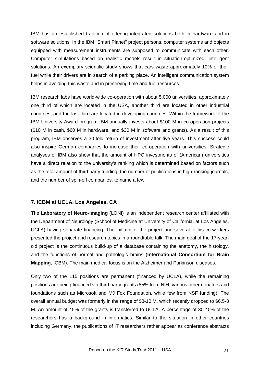IBM has an established tradition of offering integrated solutions both in hardware and in software solutions. In the IBM "Smart Planet" project persons, computer systems and objects equipped with measurement instruments are supposed to communicate with each other. Computer simulations based on realistic models result in situation-optimized, intelligent solutions. An exemplary scientific study shows that cars waste approximately 10% of their fuel while their drivers are in search of a parking place. An intelligent communication system helps in avoiding this waste and in preserving time and fuel resources.

IBM research labs have world-wide co-operation with about 5,000 universities, approximately one third of which are located in the USA, another third are located in other industrial countries, and the last third are located in developing countries. Within the framework of the IBM University Award program IBM annually invests about \$100 M in co-operation projects (\$10 M in cash, \$60 M in hardware, and \$30 M in software and grants). As a result of this program, IBM observes a 30-fold return of investment after five years. This success could also inspire German companies to increase their co-operation with universities. Strategic analyses of IBM also show that the amount of HPC investments of (American) universities have a direct relation to the university's ranking which is determined based on factors such as the total amount of third party funding, the number of publications in high-ranking journals, and the number of spin-off companies, to name a few.

#### <span id="page-20-0"></span>**7. ICBM at UCLA, Los Angeles, CA**

The **Laboratory of Neuro-Imaging** (LONI) is an independent research center affiliated with the Department of Neurology (School of Medicine at University of California, at Los Angeles, UCLA) having separate financing. The initiator of the project and several of his co-workers presented the project and research topics in a roundtable talk. The main goal of the 17-yearold project is the continuous build-up of a database containing the anatomy, the histology, and the functions of normal and pathologic brains (**International Consortium for Brain Mapping**, ICBM). The main medical focus is on the Alzheimer and Parkinson diseases.

Only two of the 115 positions are permanent (financed by UCLA), while the remaining positions are being financed via third party grants (85% from NIH, various other donators and foundations such as Microsoft and MJ Fox Foundation, while few from NSF funding). The overall annual budget was formerly in the range of \$8-10 M, which recently dropped to \$6.5-8 M. An amount of 45% of the grants is transferred to UCLA. A percentage of 30-40% of the researchers has a background in informatics. Similar to the situation in other countries including Germany, the publications of IT researchers rather appear as conference abstracts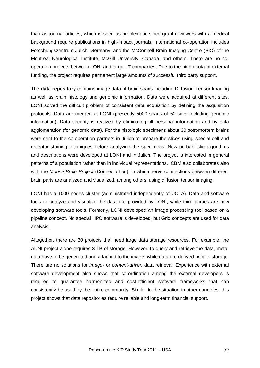than as journal articles, which is seen as problematic since grant reviewers with a medical background require publications in high-impact journals. International co-operation includes Forschungszentrum Jülich, Germany, and the McConnell Brain Imaging Centre (BIC) of the Montreal Neurological Institute, McGill University, Canada, and others. There are no cooperation projects between LONI and larger IT companies. Due to the high quota of external funding, the project requires permanent large amounts of successful third party support.

The **data repository** contains image data of brain scans including Diffusion Tensor Imaging as well as brain histology and genomic information. Data were acquired at different sites. LONI solved the difficult problem of consistent data acquisition by defining the acquisition protocols. Data are merged at LONI (presently 5000 scans of 50 sites including genomic information). Data security is realized by eliminating all personal information and by data agglomeration (for genomic data). For the histologic specimens about 30 post-mortem brains were sent to the co-operation partners in Jülich to prepare the slices using special cell and receptor staining techniques before analyzing the specimens. New probabilistic algorithms and descriptions were developed at LONI and in Jülich. The project is interested in general patterns of a population rather than in individual representations. ICBM also collaborates also with the *Mouse Brain Project* (Connectathon), in which nerve connections between different brain parts are analyzed and visualized, among others, using diffusion tensor imaging.

LONI has a 1000 nodes cluster (administrated independently of UCLA). Data and software tools to analyze and visualize the data are provided by LONI, while third parties are now developing software tools. Formerly, LONI developed an image processing tool based on a pipeline concept. No special HPC software is developed, but Grid concepts are used for data analysis.

Altogether, there are 30 projects that need large data storage resources. For example, the ADNI project alone requires 3 TB of storage. However, to query and retrieve the data, metadata have to be generated and attached to the image, while data are derived prior to storage. There are no solutions for *image-* or *content-driven* data retrieval. Experience with external software development also shows that co-ordination among the external developers is required to guarantee harmonized and cost-efficient software frameworks that can consistently be used by the entire community. Similar to the situation in other countries, this project shows that data repositories require reliable and long-term financial support.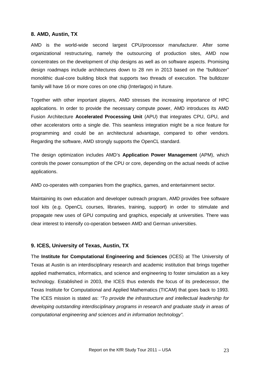#### <span id="page-22-0"></span>**8. AMD, Austin, TX**

AMD is the world-wide second largest CPU/processor manufacturer. After some organizational restructuring, namely the outsourcing of production sites, AMD now concentrates on the development of chip designs as well as on software aspects. Promising design roadmaps include architectures down to 28 nm in 2013 based on the "bulldozer" monolithic dual-core building block that supports two threads of execution. The bulldozer family will have 16 or more cores on one chip (Interlagos) in future.

Together with other important players, AMD stresses the increasing importance of HPC applications. In order to provide the necessary compute power, AMD introduces its AMD Fusion Architecture **Accelerated Processing Unit** (APU) that integrates CPU, GPU, and other accelerators onto a single die. This seamless integration might be a nice feature for programming and could be an architectural advantage, compared to other vendors. Regarding the software, AMD strongly supports the OpenCL standard.

The design optimization includes AMD's **Application Power Management** (APM), which controls the power consumption of the CPU or core, depending on the actual needs of active applications.

AMD co-operates with companies from the graphics, games, and entertainment sector.

Maintaining its own education and developer outreach program, AMD provides free software tool kits (e.g. OpenCL courses, libraries, training, support) in order to stimulate and propagate new uses of GPU computing and graphics, especially at universities. There was clear interest to intensify co-operation between AMD and German universities.

#### <span id="page-22-1"></span>**9. ICES, University of Texas, Austin, TX**

The **Institute for Computational Engineering and Sciences** (ICES) at The University of Texas at Austin is an interdisciplinary research and academic institution that brings together applied mathematics, informatics, and science and engineering to foster simulation as a key technology. Established in 2003, the ICES thus extends the focus of its predecessor, the Texas Institute for Computational and Applied Mathematics (TICAM) that goes back to 1993. The ICES mission is stated as: *"To provide the infrastructure and intellectual leadership for developing outstanding interdisciplinary programs in research and graduate study in areas of computational engineering and sciences and in information technology"*.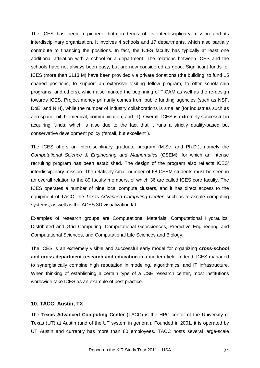The ICES has been a pioneer, both in terms of its interdisciplinary mission and its interdisciplinary organization. It involves 4 schools and 17 departments, which also partially contribute to financing the positions. In fact, the ICES faculty has typically at least one additional affiliation with a school or a department. The relations between ICES and the schools have not always been easy, but are now considered as good. Significant funds for ICES (more than \$113 M) have been provided via private donations (the building, to fund 15 chaired positions, to support an extensive visiting fellow program, to offer scholarship programs, and others), which also marked the beginning of TICAM as well as the re-design towards ICES. Project money primarily comes from public funding agencies (such as NSF, DoE, and NIH), while the number of industry collaborations is smaller (for industries such as aerospace, oil, biomedical, communication, and IT). Overall, ICES is extremely successful in acquiring funds, which is also due to the fact that it runs a strictly quality-based but conservative development policy ("small, but excellent").

The ICES offers an interdisciplinary graduate program (M.Sc. and Ph.D.), namely the *Computational Science & Engineering and Mathematics* (CSEM), for which an intense recruiting program has been established. The design of the program also reflects ICES' interdisciplinary mission. The relatively small number of 68 CSEM students must be seen in an overall relation to the 89 faculty members, of which 36 are called ICES core faculty. The ICES operates a number of nine local compute clusters, and it has direct access to the equipment of TACC, the *Texas Advanced Computing Center*, such as terascale computing systems, as well as the ACES 3D visualization lab.

Examples of research groups are Computational Materials, Computational Hydraulics, Distributed and Grid Computing, Computational Geosciences, Predictive Engineering and Computational Sciences, and Computational Life Sciences and Biology.

The ICES is an extremely visible and successful early model for organizing **cross-school and cross-department research and education** in a modern field. Indeed, ICES managed to synergistically combine high reputation in modeling, algorithmics, and IT infrastructure. When thinking of establishing a certain type of a CSE research center, most institutions worldwide take ICES as an example of best practice.

#### <span id="page-23-0"></span>**10. TACC, Austin, TX**

The **Texas Advanced Computing Center** (TACC) is the HPC center of the University of Texas (UT) at Austin (and of the UT system in general). Founded in 2001, it is operated by UT Austin and currently has more than 80 employees. TACC hosts several large-scale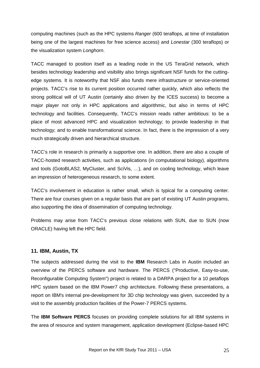computing machines (such as the HPC systems *Ranger* (600 teraflops, at time of installation being one of the largest machines for free science access) and *Lonestar* (300 teraflops) or the visualization system *Longhorn*.

TACC managed to position itself as a leading node in the US TeraGrid network, which besides technology leadership and visibility also brings significant NSF funds for the cuttingedge systems. It is noteworthy that NSF also funds mere infrastructure or service-oriented projects. TACC's rise to its current position occurred rather quickly, which also reflects the strong political will of UT Austin (certainly also driven by the ICES success) to become a major player not only in HPC applications and algorithmic, but also in terms of HPC technology and facilities. Consequently, TACC's mission reads rather ambitious: to be a place of most advanced HPC and visualization technology; to provide leadership in that technology; and to enable transformational science. In fact, there is the impression of a very much strategically driven and hierarchical structure.

TACC's role in research is primarily a supportive one. In addition, there are also a couple of TACC-hosted research activities, such as applications (in computational biology), algorithms and tools (GotoBLAS2, MyCluster, and SciVis, …), and on cooling technology, which leave an impression of heterogeneous research, to some extent.

TACC's involvement in education is rather small, which is typical for a computing center. There are four courses given on a regular basis that are part of existing UT Austin programs, also supporting the idea of dissemination of computing technology.

Problems may arise from TACC's previous close relations with SUN, due to SUN (now ORACLE) having left the HPC field.

#### <span id="page-24-0"></span>**11. IBM, Austin, TX**

The subjects addressed during the visit to the **IBM** Research Labs in Austin included an overview of the PERCS software and hardware. The PERCS ("Productive, Easy-to-use, Reconfigurable Computing System") project is related to a DARPA project for a 10 petaflops HPC system based on the IBM Power7 chip architecture. Following these presentations, a report on IBM's internal pre-development for 3D chip technology was given, succeeded by a visit to the assembly production facilities of the Power-7 PERCS systems.

The **IBM Software PERCS** focuses on providing complete solutions for all IBM systems in the area of resource and system management, application development (Eclipse-based HPC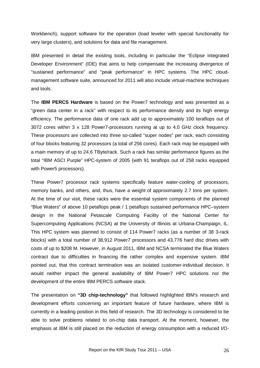Workbench), support software for the operation (load leveler with special functionality for very large clusters), and solutions for data and file management.

IBM presented in detail the existing tools, including in particular the "Eclipse Integrated Developer Environment" (IDE) that aims to help compensate the increasing divergence of "sustained performance" and "peak performance" in HPC systems. The HPC cloudmanagement software suite, announced for 2011 will also include virtual-machine techniques and tools.

The **IBM PERCS Hardware** is based on the Power7 technology and was presented as a "green data center in a rack" with respect to its performance density and its high energy efficiency. The performance data of one rack add up to approximately 100 teraflops out of 3072 cores within 3 x 128 Power7-processors running at up to 4.0 GHz clock frequency. These processors are collected into three so-called "super nodes" per rack, each consisting of four blocks featuring 32 processors (a total of 256 cores). Each rack may be equipped with a main memory of up to 24.6 TByte/rack. Such a rack has similar performance figures as the total "IBM ASCI Purple" HPC-system of 2005 (with 91 teraflops out of 258 racks equipped with Power5 processors).

These Power7 processor rack systems specifically feature water-cooling of processors, memory banks, and others, and, thus, have a weight of approximately 2.7 tons per system. At the time of our visit, these racks were the essential system components of the planned "Blue Waters" of above 10 petaflops peak / 1 petaflops sustained performance HPC–system design in the National Petascale Computing Facility of the National Center for Supercomputing Applications (NCSA) at the University of Illinois at Urbana-Champaign, IL. This HPC system was planned to consist of 114 Power7 racks (as a number of 38 3-rack blocks) with a total number of 38,912 Power7 processors and 43,776 hard disc drives with costs of up to \$208 M. However, in August 2011, IBM and NCSA terminated the Blue Waters contract due to difficulties in financing the rather complex and expensive system. IBM pointed out, that this contract termination was an isolated customer-individual decision. It would neither impact the general availability of IBM Power7 HPC solutions nor the development of the entire IBM PERCS software stack.

The presentation on **"3D chip-technology"** that followed highlighted IBM's research and development efforts concerning an important feature of future hardware, where IBM is currently in a leading position in this field of research. The 3D technology is considered to be able to solve problems related to on-chip data transport. At the moment, however, the emphasis at IBM is still placed on the reduction of energy consumption with a reduced I/O-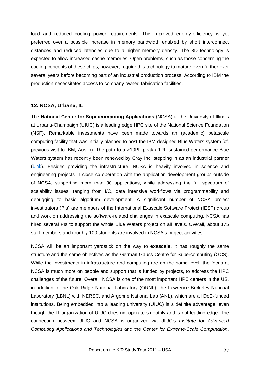load and reduced cooling power requirements. The improved energy-efficiency is yet preferred over a possible increase in memory bandwidth enabled by short interconnect distances and reduced latencies due to a higher memory density. The 3D technology is expected to allow increased cache memories. Open problems, such as those concerning the cooling concepts of these chips, however, require this technology to mature even further over several years before becoming part of an industrial production process. According to IBM the production necessitates access to company-owned fabrication facilities.

#### <span id="page-26-0"></span>**12. NCSA, Urbana, IL**

The **National Center for Supercomputing Applications** (NCSA) at the University of Illinois at Urbana-Champaign (UIUC) is a leading edge HPC site of the National Science Foundation (NSF). Remarkable investments have been made towards an (academic) petascale computing facility that was initially planned to host the IBM-designed Blue Waters system (cf. previous visit to IBM, Austin). The path to a >10PF peak / 1PF sustained performance Blue Waters system has recently been renewed by Cray Inc. stepping in as an industrial partner [\(Link\)](http://www.ncsa.illinois.edu/BlueWaters/system.html). Besides providing the infrastructure, NCSA is heavily involved in science and engineering projects in close co-operation with the application development groups outside of NCSA, supporting more than 30 applications, while addressing the full spectrum of scalability issues, ranging from I/O, data intensive workflows via programmability and debugging to basic algorithm development. A significant number of NCSA project investigators (PIs) are members of the International Exascale Software Project (IESP) group and work on addressing the software-related challenges in exascale computing. NCSA has hired several PIs to support the whole Blue Waters project on all levels. Overall, about 175 staff members and roughly 100 students are involved in NCSA's project activities.

NCSA will be an important yardstick on the way to **exascale**. It has roughly the same structure and the same objectives as the German Gauss Centre for Supercomputing (GCS). While the investments in infrastructure and computing are on the same level, the focus at NCSA is much more on people and support that is funded by projects, to address the HPC challenges of the future. Overall, NCSA is one of the most important HPC centers in the US, in addition to the Oak Ridge National Laboratory (ORNL), the Lawrence Berkeley National Laboratory (LBNL) with NERSC, and Argonne National Lab (ANL), which are all DoE-funded institutions. Being embedded into a leading university (UIUC) is a definite advantage, even though the IT organization of UIUC does not operate smoothly and is not leading edge. The connection between UIUC and NCSA is organized via UIUC's *Institute for Advanced Computing Applications and Technologies* and the *Center for Extreme-Scale Computation*,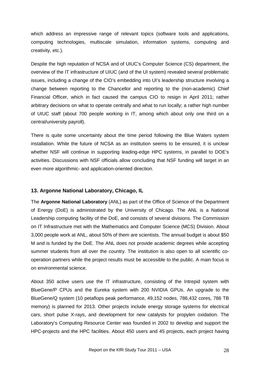which address an impressive range of relevant topics (software tools and applications, computing technologies, multiscale simulation, information systems, computing and creativity, etc.).

Despite the high reputation of NCSA and of UIUC's Computer Science (CS) department, the overview of the IT infrastructure of UIUC (and of the UI system) revealed several problematic issues, including a change of the CIO's embedding into UI's leadership structure involving a change between reporting to the Chancellor and reporting to the (non-academic) Chief Financial Officer, which in fact caused the campus CIO to resign in April 2011; rather arbitrary decisions on what to operate centrally and what to run locally; a rather high number of UIUC staff (about 700 people working in IT, among which about only one third on a central/university payroll).

There is quite some uncertainty about the time period following the Blue Waters system installation. While the future of NCSA as an institution seems to be ensured, it is unclear whether NSF will continue in supporting leading-edge HPC systems, in parallel to DOE's activities. Discussions with NSF officials allow concluding that NSF funding will target in an even more algorithmic- and application-oriented direction.

#### <span id="page-27-0"></span>**13. Argonne National Laboratory, Chicago, IL**

The **Argonne National Laboratory** (ANL) as part of the Office of Science of the Department of Energy (DoE) is administrated by the University of Chicago. The ANL is a National Leadership computing facility of the DoE, and consists of several divisions. The Commission on IT Infrastructure met with the Mathematics and Computer Science (MCS) Division. About 3,000 people work at ANL, about 50% of them are scientists. The annual budget is about \$50 M and is funded by the DoE. The ANL does not provide academic degrees while accepting summer students from all over the country. The institution is also open to all scientific cooperation partners while the project results must be accessible to the public. A main focus is on environmental science.

About 350 active users use the IT infrastructure, consisting of the Intrepid system with BlueGene/P CPUs and the Eureka system with 200 NVIDIA GPUs. An upgrade to the BlueGene/Q system (10 petaflops peak performance, 49,152 nodes, 786,432 cores, 786 TB memory) is planned for 2013. Other projects include energy storage systems for electrical cars, short pulse X-rays, and development for new catalysts for propylen oxidation. The Laboratory's Computing Resource Center was founded in 2002 to develop and support the HPC-projects and the HPC facilities. About 450 users and 45 projects, each project having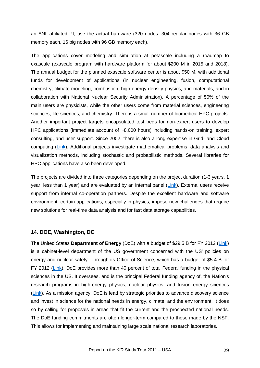an ANL-affiliated PI, use the actual hardware (320 nodes: 304 regular nodes with 36 GB memory each, 16 big nodes with 96 GB memory each).

The applications cover modeling and simulation at petascale including a roadmap to exascale (exascale program with hardware platform for about \$200 M in 2015 and 2018). The annual budget for the planned exascale software center is about \$50 M, with additional funds for development of applications (in nuclear engineering, fusion, computational chemistry, climate modeling, combustion, high-energy density physics, and materials, and in collaboration with National Nuclear Security Administration). A percentage of 50% of the main users are physicists, while the other users come from material sciences, engineering sciences, life sciences, and chemistry. There is a small number of biomedical HPC projects. Another important project targets encapsulated test beds for non-expert users to develop HPC applications (immediate account of ~8,000 hours) including hands-on training, expert consulting, and user support. Since 2002, there is also a long expertise in Grid- and Cloud computing [\(Link\)](http://www.nimbusproject.org/). Additional projects investigate mathematical problems, data analysis and visualization methods, including stochastic and probabilistic methods. Several libraries for HPC applications have also been developed.

The projects are divided into three categories depending on the project duration (1-3 years, 1 year, less than 1 year) and are evaluated by an internal panel [\(Link\)](http://www.alcf.anl.gov/). External users receive support from internal co-operation partners. Despite the excellent hardware and software environment, certain applications, especially in physics, impose new challenges that require new solutions for real-time data analysis and for fast data storage capabilities.

#### <span id="page-28-0"></span>**14. DOE, Washington, DC**

The United States **Department of Energy** (DoE) with a budget of \$29.5 B for FY 2012 [\(Link\)](http://www.whitehouse.gov/sites/default/files/omb/budget/fy2012/assets/energy.pdf) is a cabinet-level department of the US government concerned with the US' policies on energy and nuclear safety. Through its Office of Science, which has a budget of \$5.4 B for FY 2012 [\(Link\)](http://www.whitehouse.gov/sites/default/files/omb/budget/fy2012/assets/energy.pdf), DoE provides more than 40 percent of total Federal funding in the physical sciences in the US. It oversees, and is the principal Federal funding agency of, the Nation's research programs in high-energy physics, nuclear physics, and fusion energy sciences [\(Link\)](http://www.energy.gov/sciencetech/index.htm). As a mission agency, DoE is lead by strategic priorities to advance discovery science and invest in science for the national needs in energy, climate, and the environment. It does so by calling for proposals in areas that fit the current and the prospected national needs. The DoE funding commitments are often longer-term compared to those made by the NSF. This allows for implementing and maintaining large scale national research laboratories.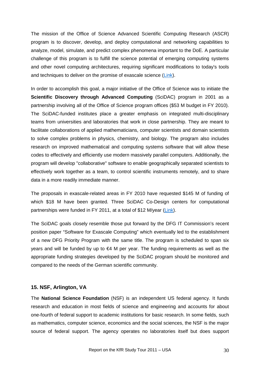The mission of the Office of Science Advanced Scientific Computing Research (ASCR) program is to discover, develop, and deploy computational and networking capabilities to analyze, model, simulate, and predict complex phenomena important to the DoE. A particular challenge of this program is to fulfill the science potential of emerging computing systems and other novel computing architectures, requiring significant modifications to today's tools and techniques to deliver on the promise of exascale science [\(Link\)](http://www.science.energy.gov/ascr/about/).

In order to accomplish this goal, a major initiative of the Office of Science was to initiate the **Scientific Discovery through Advanced Computing** (SciDAC) program in 2001 as a partnership involving all of the Office of Science program offices (\$53 M budget in FY 2010). The SciDAC-funded institutes place a greater emphasis on integrated multi-disciplinary teams from universities and laboratories that work in close partnership. They are meant to facilitate collaborations of applied mathematicians, computer scientists and domain scientists to solve complex problems in physics, chemistry, and biology. The program also includes research on improved mathematical and computing systems software that will allow these codes to effectively and efficiently use modern massively parallel computers. Additionally, the program will develop "collaborative" software to enable geographically separated scientists to effectively work together as a team, to control scientific instruments remotely, and to share data in a more readily immediate manner.

The proposals in exascale-related areas in FY 2010 have requested \$145 M of funding of which \$18 M have been granted. Three SciDAC Co-Design centers for computational partnerships were funded in FY 2011, at a total of \$12 M/year [\(Link\)](http://science.energy.gov/ascr/research/scidac/co-design/).

The SciDAC goals closely resemble those put forward by the DFG IT Commission's recent position paper "Software for Exascale Computing" which eventually led to the establishment of a new DFG Priority Program with the same title. The program is scheduled to span six years and will be funded by up to  $\epsilon$ 4 M per year. The funding requirements as well as the appropriate funding strategies developed by the SciDAC program should be monitored and compared to the needs of the German scientific community.

#### <span id="page-29-0"></span>**15. NSF, Arlington, VA**

The **National Science Foundation** (NSF) is an independent US federal agency. It funds research and education in most fields of science and engineering and accounts for about one-fourth of federal support to academic institutions for basic research. In some fields, such as mathematics, computer science, economics and the social sciences, the NSF is the major source of federal support. The agency operates no laboratories itself but does support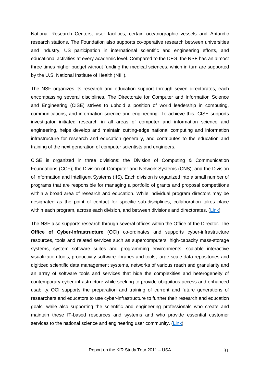National Research Centers, user facilities, certain oceanographic vessels and Antarctic research stations. The Foundation also supports co-operative research between universities and industry, US participation in international scientific and engineering efforts, and educational activities at every academic level. Compared to the DFG, the NSF has an almost three times higher budget without funding the medical sciences, which in turn are supported by the U.S. National Institute of Health (NIH).

The NSF organizes its research and education support through seven directorates, each encompassing several disciplines. The Directorate for Computer and Information Science and Engineering (CISE) strives to uphold a position of world leadership in computing, communications, and information science and engineering. To achieve this, CISE supports investigator initiated research in all areas of computer and information science and engineering, helps develop and maintain cutting-edge national computing and information infrastructure for research and education generally, and contributes to the education and training of the next generation of computer scientists and engineers.

CISE is organized in three divisions: the Division of Computing & Communication Foundations (CCF); the Division of Computer and Network Systems (CNS); and the Division of Information and Intelligent Systems (IIS). Each division is organized into a small number of programs that are responsible for managing a portfolio of grants and proposal competitions within a broad area of research and education. While individual program directors may be designated as the point of contact for specific sub-disciplines, collaboration takes place within each program, across each division, and between divisions and directorates. [\(Link\)](http://www.nsf.gov/cise/about.jsp)

The NSF also supports research through several offices within the Office of the Director. The **Office of Cyber-Infrastructure** (OCI) co-ordinates and supports cyber-infrastructure resources, tools and related services such as supercomputers, high-capacity mass-storage systems, system software suites and programming environments, scalable interactive visualization tools, productivity software libraries and tools, large-scale data repositories and digitized scientific data management systems, networks of various reach and granularity and an array of software tools and services that hide the complexities and heterogeneity of contemporary cyber-infrastructure while seeking to provide ubiquitous access and enhanced usability. OCI supports the preparation and training of current and future generations of researchers and educators to use cyber-infrastructure to further their research and education goals, while also supporting the scientific and engineering professionals who create and maintain these IT-based resources and systems and who provide essential customer services to the national science and engineering user community. [\(Link\)](http://www.nsf.gov/od/oci/about.jsp)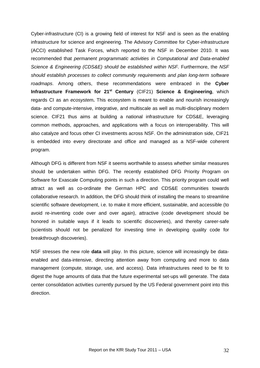Cyber-infrastructure (CI) is a growing field of interest for NSF and is seen as the enabling infrastructure for science and engineering. The Advisory Committee for Cyber-infrastructure (ACCI) established Task Forces, which reported to the NSF in December 2010. It was recommended that *permanent programmatic activities in Computational and Data-enabled Science & Engineering (CDS&E) should be established within NSF*. Furthermore, the *NSF should establish processes to collect community requirements and plan long-term software roadmaps*. Among others, these recommendations were embraced in the **Cyber Infrastructure Framework for 21<sup>st</sup> Century** (CIF21) **Science & Engineering**, which regards CI as an *ecosystem***.** This ecosystem is meant to enable and nourish increasingly data- and compute-intensive, integrative, and multiscale as well as multi-disciplinary modern science. CIF21 thus aims at building a national infrastructure for CDS&E, leveraging common methods, approaches, and applications with a focus on interoperability. This will also catalyze and focus other CI investments across NSF. On the administration side, CIF21 is embedded into every directorate and office and managed as a NSF-wide coherent program.

Although DFG is different from NSF it seems worthwhile to assess whether similar measures should be undertaken within DFG. The recently established DFG Priority Program on Software for Exascale Computing points in such a direction. This priority program could well attract as well as co-ordinate the German HPC and CDS&E communities towards collaborative research. In addition, the DFG should think of installing the means to streamline scientific software development, i.e. to make it more efficient, sustainable, and accessible (to avoid re-inventing code over and over again), attractive (code development should be honored in suitable ways if it leads to scientific discoveries), and thereby career-safe (scientists should not be penalized for investing time in developing quality code for breakthrough discoveries).

NSF stresses the new role **data** will play. In this picture, science will increasingly be dataenabled and data-intensive, directing attention away from computing and more to data management (compute, storage, use, and access). Data infrastructures need to be fit to digest the huge amounts of data that the future experimental set-ups will generate. The data center consolidation activities currently pursued by the US Federal government point into this direction.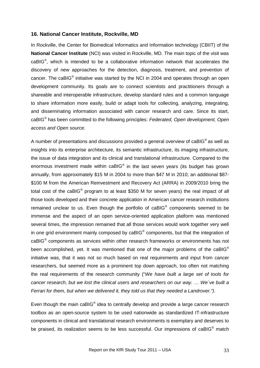#### <span id="page-32-0"></span>**16. National Cancer Institute, Rockville, MD**

In Rockville, the Center for Biomedical Informatics and Information technology (CBIIT) of the **National Cancer Institute** (NCI) was visited in Rockville, MD. The main topic of the visit was caBIG®, which is intended to be a collaborative information network that accelerates the discovery of new approaches for the detection, diagnosis, treatment, and prevention of cancer. The caBIG® initiative was started by the NCI in 2004 and operates through an open development community. Its goals are to connect scientists and practitioners through a shareable and interoperable infrastructure, develop standard rules and a common language to share information more easily, build or adapt tools for collecting, analyzing, integrating, and disseminating information associated with cancer research and care. Since its start, caBIG® has been committed to the following principles: *Federated, Open development, Open access and Open source*.

A number of presentations and discussions provided a general overview of caBIG<sup>®</sup> as well as insights into its enterprise architecture, its semantic infrastructure, its imaging infrastructure, the issue of data integration and its clinical and translational infrastructure. Compared to the enormous investment made within caBIG<sup>®</sup> in the last seven years (its budget has grown annually, from approximately \$15 M in 2004 to more than \$47 M in 2010; an additional \$87- \$100 M from the American Reinvestment and Recovery Act (ARRA) in 2009/2010 bring the total cost of the caBIG® program to at least \$350 M for seven years) the real impact of all those tools developed and their concrete application in American cancer research institutions remained unclear to us. Even though the portfolio of  $caBIG<sup>®</sup>$  components seemed to be immense and the aspect of an open service-oriented application platform was mentioned several times, the impression remained that all those services would work together very well in one grid environment mainly composed by  $caBIG<sup>®</sup>$  components, but that the integration of caBIG® components as services within other research frameworks or environments has not been accomplished, yet. It was mentioned that one of the major problems of the caBIG<sup>®</sup> initiative was, that it was not so much based on real requirements and input from cancer researchers, but seemed more as a prominent top down approach, too often not matching the real requirements of the research community ("*We have built a large set of tools for cancer research, but we lost the clinical users and researchers on our way. … We´ve built a Ferrari for them, but when we delivered it, they told us that they needed a Landrover.")*.

Even though the main caBIG<sup>®</sup> idea to centrally develop and provide a large cancer research toolbox as an open-source system to be used nationwide as standardized IT-infrastructure components in clinical and translational research environments is exemplary and deserves to be praised, its realization seems to be less successful. Our impressions of caBIG<sup>®</sup> match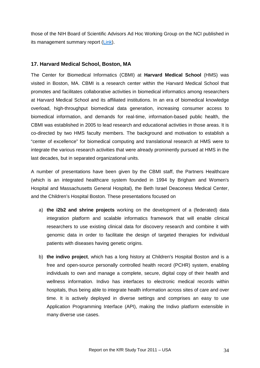those of the NIH Board of Scientific Advisors Ad Hoc Working Group on the NCI published in its management summary report [\(Link\)](http://deainfo.nci.nih.gov/advisory/bsa/bsa0311/caBIGfinalReport.pdf).

#### <span id="page-33-0"></span>**17. Harvard Medical School, Boston, MA**

The Center for Biomedical Informatics (CBMI) at **Harvard Medical School** (HMS) was visited in Boston, MA. CBMI is a research center within the Harvard Medical School that promotes and facilitates collaborative activities in biomedical informatics among researchers at Harvard Medical School and its affiliated institutions. In an era of biomedical knowledge overload, high-throughput biomedical data generation, increasing consumer access to biomedical information, and demands for real-time, information-based public health, the CBMI was established in 2005 to lead research and educational activities in those areas. It is co-directed by two HMS faculty members. The background and motivation to establish a "center of excellence" for biomedical computing and translational research at HMS were to integrate the various research activities that were already prominently pursued at HMS in the last decades, but in separated organizational units.

A number of presentations have been given by the CBMI staff, the Partners Healthcare (which is an integrated healthcare system founded in 1994 by Brigham and Women's Hospital and Massachusetts General Hospital), the Beth Israel Deaconess Medical Center, and the Children's Hospital Boston. These presentations focused on

- a) **the i2b2 and shrine projects** working on the development of a (federated) data integration platform and scalable informatics framework that will enable clinical researchers to use existing clinical data for discovery research and combine it with genomic data in order to facilitate the design of targeted therapies for individual patients with diseases having genetic origins.
- b) **the indivo project**, which has a long history at Children's Hospital Boston and is a free and open-source personally controlled health record (PCHR) system, enabling individuals to own and manage a complete, secure, digital copy of their health and wellness information. Indivo has interfaces to electronic medical records within hospitals, thus being able to integrate health information across sites of care and over time. It is actively deployed in diverse settings and comprises an easy to use Application Programming Interface (API), making the Indivo platform extensible in many diverse use cases.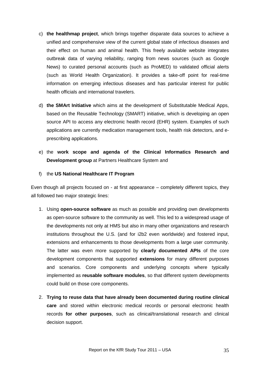- c) **the healthmap project**, which brings together disparate data sources to achieve a unified and comprehensive view of the current global state of infectious diseases and their effect on human and animal health. This freely available website integrates outbreak data of varying reliability, ranging from news sources (such as Google News) to curated personal accounts (such as ProMED) to validated official alerts (such as World Health Organization). It provides a take-off point for real-time information on emerging infectious diseases and has particular interest for public health officials and international travelers.
- d) **the SMArt Initiative** which aims at the development of Substitutable Medical Apps, based on the Reusable Technology (SMART) initiative, which is developing an open source API to access any electronic health record (EHR) system. Examples of such applications are currently medication management tools, health risk detectors, and eprescribing applications.
- e) the **work scope and agenda of the Clinical Informatics Research and Development group** at Partners Healthcare System and
- f) the **US National Healthcare IT Program**

Even though all projects focused on - at first appearance – completely different topics, they all followed two major strategic lines:

- 1. Using **open-source software** as much as possible and providing own developments as open-source software to the community as well. This led to a widespread usage of the developments not only at HMS but also in many other organizations and research institutions throughout the U.S. (and for i2b2 even worldwide) and fostered input, extensions and enhancements to those developments from a large user community. The latter was even more supported by **clearly documented APIs** of the core development components that supported **extensions** for many different purposes and scenarios. Core components and underlying concepts where typically implemented as **reusable software modules**, so that different system developments could build on those core components.
- 2. **Trying to reuse data that have already been documented during routine clinical care** and stored within electronic medical records or personal electronic health records **for other purposes**, such as clinical/translational research and clinical decision support.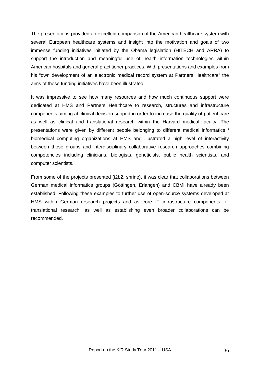The presentations provided an excellent comparison of the American healthcare system with several European healthcare systems and insight into the motivation and goals of two immense funding initiatives initiated by the Obama legislation (HITECH and ARRA) to support the introduction and meaningful use of health information technologies within American hospitals and general practitioner practices. With presentations and examples from his "own development of an electronic medical record system at Partners Healthcare" the aims of those funding initiatives have been illustrated.

It was impressive to see how many resources and how much continuous support were dedicated at HMS and Partners Healthcare to research, structures and infrastructure components aiming at clinical decision support in order to increase the quality of patient care as well as clinical and translational research within the Harvard medical faculty. The presentations were given by different people belonging to different medical informatics / biomedical computing organizations at HMS and illustrated a high level of interactivity between those groups and interdisciplinary collaborative research approaches combining competencies including clinicians, biologists, geneticists, public health scientists, and computer scientists.

From some of the projects presented (i2b2, shrine), it was clear that collaborations between German medical informatics groups (Göttingen, Erlangen) and CBMI have already been established. Following these examples to further use of open-source systems developed at HMS within German research projects and as core IT infrastructure components for translational research, as well as establishing even broader collaborations can be recommended.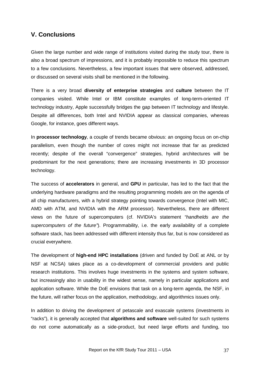### <span id="page-36-0"></span>**V. Conclusions**

Given the large number and wide range of institutions visited during the study tour, there is also a broad spectrum of impressions, and it is probably impossible to reduce this spectrum to a few conclusions. Nevertheless, a few important issues that were observed, addressed, or discussed on several visits shall be mentioned in the following.

There is a very broad **diversity of enterprise strategies** and **culture** between the IT companies visited. While Intel or IBM constitute examples of long-term-oriented IT technology industry, Apple successfully bridges the gap between IT technology and lifestyle. Despite all differences, both Intel and NVIDIA appear as classical companies, whereas Google, for instance, goes different ways.

In **processor technology**, a couple of trends became obvious: an ongoing focus on on-chip parallelism, even though the number of cores might not increase that far as predicted recently; despite of the overall "convergence" strategies, hybrid architectures will be predominant for the next generations; there are increasing investments in 3D processor technology.

The success of **accelerators** in general, and **GPU** in particular, has led to the fact that the underlying hardware paradigms and the resulting programming models are on the agenda of all chip manufacturers, with a hybrid strategy pointing towards convergence (Intel with MIC, AMD with ATM, and NVIDIA with the ARM processor). Nevertheless, there are different views on the future of supercomputers (cf. NVIDIA's statement *"handhelds are the supercomputers of the future"*). Programmability, i.e. the early availability of a complete software stack, has been addressed with different intensity thus far, but is now considered as crucial everywhere.

The development of **high-end HPC installations** (driven and funded by DoE at ANL or by NSF at NCSA) takes place as a co-development of commercial providers and public research institutions. This involves huge investments in the systems and system software, but increasingly also in usability in the widest sense, namely in particular applications and application software. While the DoE envisions that task on a long-term agenda, the NSF, in the future, will rather focus on the application, methodology, and algorithmics issues only.

In addition to driving the development of petascale and exascale systems (investments in "racks"), it is generally accepted that **algorithms and software** well-suited for such systems do not come automatically as a side-product, but need large efforts and funding, too